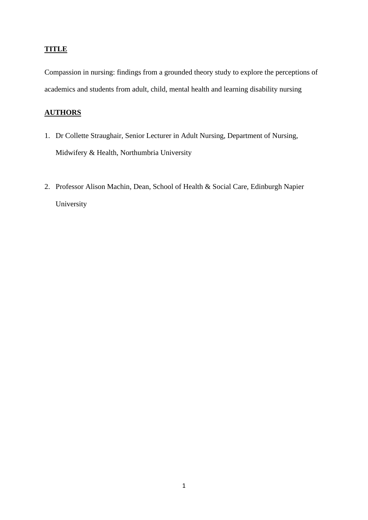## **TITLE**

Compassion in nursing: findings from a grounded theory study to explore the perceptions of academics and students from adult, child, mental health and learning disability nursing

# **AUTHORS**

- 1. Dr Collette Straughair, Senior Lecturer in Adult Nursing, Department of Nursing, Midwifery & Health, Northumbria University
- 2. Professor Alison Machin, Dean, School of Health & Social Care, Edinburgh Napier University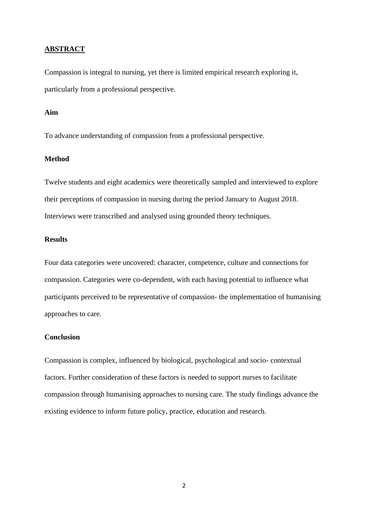#### **ABSTRACT**

Compassion is integral to nursing, yet there is limited empirical research exploring it, particularly from a professional perspective.

#### **Aim**

To advance understanding of compassion from a professional perspective.

#### **Method**

Twelve students and eight academics were theoretically sampled and interviewed to explore their perceptions of compassion in nursing during the period January to August 2018. Interviews were transcribed and analysed using grounded theory techniques.

#### **Results**

Four data categories were uncovered: character, competence, culture and connections for compassion. Categories were co-dependent, with each having potential to influence what participants perceived to be representative of compassion- the implementation of humanising approaches to care.

#### **Conclusion**

Compassion is complex, influenced by biological, psychological and socio- contextual factors. Further consideration of these factors is needed to support nurses to facilitate compassion through humanising approaches to nursing care. The study findings advance the existing evidence to inform future policy, practice, education and research.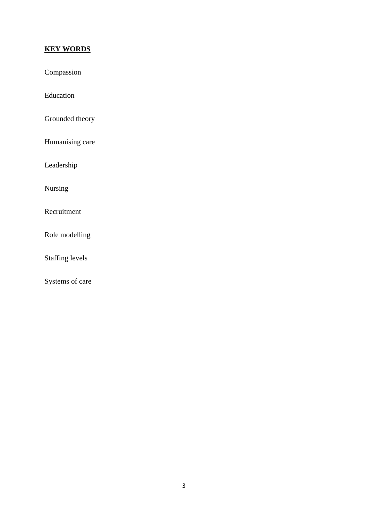# **KEY WORDS**

Compassion

Education

Grounded theory

Humanising care

Leadership

Nursing

Recruitment

Role modelling

Staffing levels

Systems of care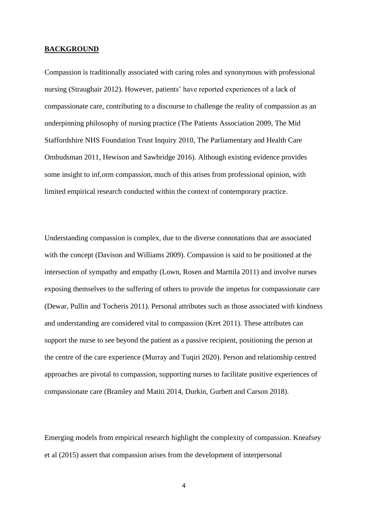#### **BACKGROUND**

Compassion is traditionally associated with caring roles and synonymous with professional nursing (Straughair 2012). However, patients' have reported experiences of a lack of compassionate care, contributing to a discourse to challenge the reality of compassion as an underpinning philosophy of nursing practice (The Patients Association 2009, The Mid Staffordshire NHS Foundation Trust Inquiry 2010, The Parliamentary and Health Care Ombudsman 2011, Hewison and Sawbridge 2016). Although existing evidence provides some insight to inf,orm compassion, much of this arises from professional opinion, with limited empirical research conducted within the context of contemporary practice.

Understanding compassion is complex, due to the diverse connotations that are associated with the concept (Davison and Williams 2009). Compassion is said to be positioned at the intersection of sympathy and empathy (Lown, Rosen and Marttila 2011) and involve nurses exposing themselves to the suffering of others to provide the impetus for compassionate care (Dewar, Pullin and Tocheris 2011). Personal attributes such as those associated with kindness and understanding are considered vital to compassion (Kret 2011). These attributes can support the nurse to see beyond the patient as a passive recipient, positioning the person at the centre of the care experience (Murray and Tuqiri 2020). Person and relationship centred approaches are pivotal to compassion, supporting nurses to facilitate positive experiences of compassionate care (Bramley and Matiti 2014, Durkin, Gurbett and Carson 2018).

Emerging models from empirical research highlight the complexity of compassion. Kneafsey et al (2015) assert that compassion arises from the development of interpersonal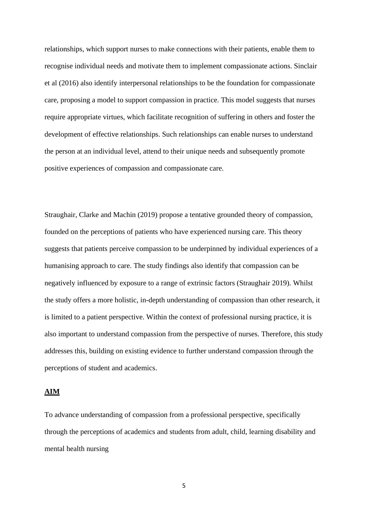relationships, which support nurses to make connections with their patients, enable them to recognise individual needs and motivate them to implement compassionate actions. Sinclair et al (2016) also identify interpersonal relationships to be the foundation for compassionate care, proposing a model to support compassion in practice. This model suggests that nurses require appropriate virtues, which facilitate recognition of suffering in others and foster the development of effective relationships. Such relationships can enable nurses to understand the person at an individual level, attend to their unique needs and subsequently promote positive experiences of compassion and compassionate care.

Straughair, Clarke and Machin (2019) propose a tentative grounded theory of compassion, founded on the perceptions of patients who have experienced nursing care. This theory suggests that patients perceive compassion to be underpinned by individual experiences of a humanising approach to care. The study findings also identify that compassion can be negatively influenced by exposure to a range of extrinsic factors (Straughair 2019). Whilst the study offers a more holistic, in-depth understanding of compassion than other research, it is limited to a patient perspective. Within the context of professional nursing practice, it is also important to understand compassion from the perspective of nurses. Therefore, this study addresses this, building on existing evidence to further understand compassion through the perceptions of student and academics.

#### **AIM**

To advance understanding of compassion from a professional perspective, specifically through the perceptions of academics and students from adult, child, learning disability and mental health nursing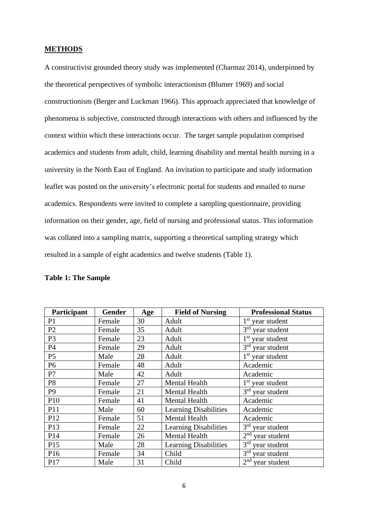#### **METHODS**

A constructivist grounded theory study was implemented (Charmaz 2014), underpinned by the theoretical perspectives of symbolic interactionism (Blumer 1969) and social constructionism (Berger and Luckman 1966). This approach appreciated that knowledge of phenomena is subjective, constructed through interactions with others and influenced by the context within which these interactions occur. The target sample population comprised academics and students from adult, child, learning disability and mental health nursing in a university in the North East of England. An invitation to participate and study information leaflet was posted on the university's electronic portal for students and emailed to nurse academics. Respondents were invited to complete a sampling questionnaire, providing information on their gender, age, field of nursing and professional status. This information was collated into a sampling matrix, supporting a theoretical sampling strategy which resulted in a sample of eight academics and twelve students (Table 1).

| Participant    | Gender | Age | <b>Field of Nursing</b>      | <b>Professional Status</b>      |
|----------------|--------|-----|------------------------------|---------------------------------|
| P1             | Female | 30  | Adult                        | $1st$ year student              |
| P <sub>2</sub> | Female | 35  | Adult                        | $3rd$ year student              |
| P <sub>3</sub> | Female | 23  | Adult                        | $1st$ year student              |
| P4             | Female | 29  | Adult                        | $3rd$ year student              |
| P <sub>5</sub> | Male   | 28  | Adult                        | $1st$ year student              |
| P <sub>6</sub> | Female | 48  | Adult                        | Academic                        |
| P7             | Male   | 42  | Adult                        | Academic                        |
| P <sub>8</sub> | Female | 27  | <b>Mental Health</b>         | $1st$ year student              |
| P <sub>9</sub> | Female | 21  | <b>Mental Health</b>         | $3rd$ year student              |
| P10            | Female | 41  | Mental Health                | Academic                        |
| P11            | Male   | 60  | <b>Learning Disabilities</b> | Academic                        |
| P12            | Female | 51  | Mental Health                | Academic                        |
| P13            | Female | 22  | <b>Learning Disabilities</b> | $3rd$ year student              |
| P14            | Female | 26  | <b>Mental Health</b>         | $2nd$ year student              |
| P15            | Male   | 28  | <b>Learning Disabilities</b> | 3 <sup>rd</sup><br>year student |
| P16            | Female | 34  | Child                        | 3 <sup>rd</sup><br>year student |
| P17            | Male   | 31  | Child                        | $2nd$ year student              |

### **Table 1: The Sample**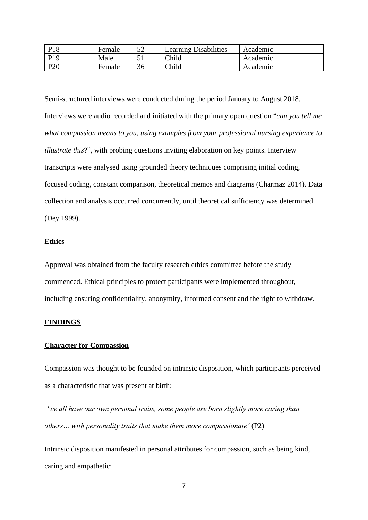| P <sub>18</sub> | Female | 50<br>ے ر | <b>Learning Disabilities</b> | Academic |
|-----------------|--------|-----------|------------------------------|----------|
| P <sub>19</sub> | Male   |           | Child                        | Academic |
| P <sub>20</sub> | Female | 36        | Child                        | Academic |

Semi-structured interviews were conducted during the period January to August 2018. Interviews were audio recorded and initiated with the primary open question "*can you tell me what compassion means to you, using examples from your professional nursing experience to illustrate this*?", with probing questions inviting elaboration on key points. Interview transcripts were analysed using grounded theory techniques comprising initial coding, focused coding, constant comparison, theoretical memos and diagrams (Charmaz 2014). Data collection and analysis occurred concurrently, until theoretical sufficiency was determined (Dey 1999).

#### **Ethics**

Approval was obtained from the faculty research ethics committee before the study commenced. Ethical principles to protect participants were implemented throughout, including ensuring confidentiality, anonymity, informed consent and the right to withdraw.

#### **FINDINGS**

#### **Character for Compassion**

Compassion was thought to be founded on intrinsic disposition, which participants perceived as a characteristic that was present at birth:

*'we all have our own personal traits, some people are born slightly more caring than others… with personality traits that make them more compassionate'* (P2)

Intrinsic disposition manifested in personal attributes for compassion, such as being kind, caring and empathetic: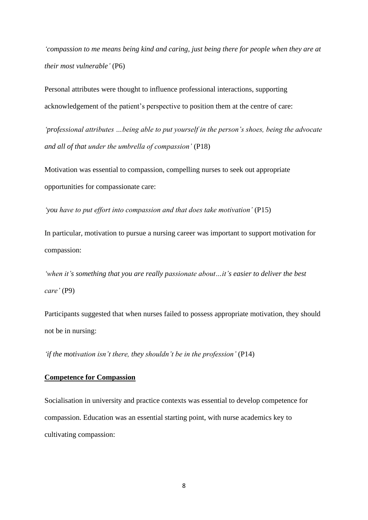*'compassion to me means being kind and caring, just being there for people when they are at their most vulnerable'* (P6)

Personal attributes were thought to influence professional interactions, supporting acknowledgement of the patient's perspective to position them at the centre of care:

*'professional attributes …being able to put yourself in the person's shoes, being the advocate and all of that under the umbrella of compassion'* (P18)

Motivation was essential to compassion, compelling nurses to seek out appropriate opportunities for compassionate care:

*'you have to put effort into compassion and that does take motivation'* (P15)

In particular, motivation to pursue a nursing career was important to support motivation for compassion:

*'when it's something that you are really passionate about…it's easier to deliver the best care'* (P9)

Participants suggested that when nurses failed to possess appropriate motivation, they should not be in nursing:

*'if the motivation isn't there, they shouldn't be in the profession'* (P14)

## **Competence for Compassion**

Socialisation in university and practice contexts was essential to develop competence for compassion. Education was an essential starting point, with nurse academics key to cultivating compassion: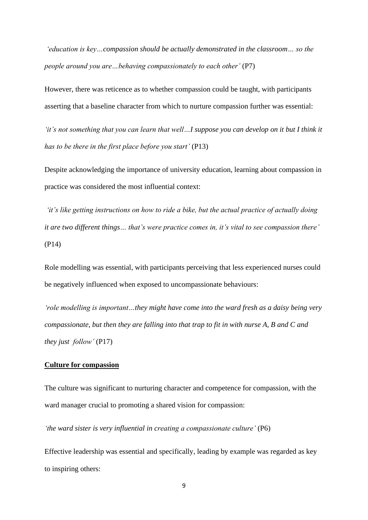*'education is key…compassion should be actually demonstrated in the classroom… so the people around you are…behaving compassionately to each other'* (P7)

However, there was reticence as to whether compassion could be taught, with participants asserting that a baseline character from which to nurture compassion further was essential:

*'it's not something that you can learn that well…I suppose you can develop on it but I think it has to be there in the first place before you start'* (P13)

Despite acknowledging the importance of university education, learning about compassion in practice was considered the most influential context:

*'it's like getting instructions on how to ride a bike, but the actual practice of actually doing it are two different things… that's were practice comes in, it's vital to see compassion there'* (P14)

Role modelling was essential, with participants perceiving that less experienced nurses could be negatively influenced when exposed to uncompassionate behaviours:

*'role modelling is important…they might have come into the ward fresh as a daisy being very compassionate, but then they are falling into that trap to fit in with nurse A, B and C and they just follow'* (P17)

#### **Culture for compassion**

The culture was significant to nurturing character and competence for compassion, with the ward manager crucial to promoting a shared vision for compassion:

*'the ward sister is very influential in creating a compassionate culture'* (P6)

Effective leadership was essential and specifically, leading by example was regarded as key to inspiring others: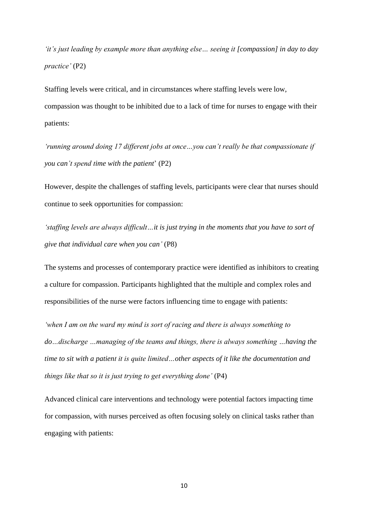*'it's just leading by example more than anything else… seeing it [compassion] in day to day practice'* (P2)

Staffing levels were critical, and in circumstances where staffing levels were low, compassion was thought to be inhibited due to a lack of time for nurses to engage with their patients:

*'running around doing 17 different jobs at once…you can't really be that compassionate if you can't spend time with the patient*' (P2)

However, despite the challenges of staffing levels, participants were clear that nurses should continue to seek opportunities for compassion:

*'staffing levels are always difficult…it is just trying in the moments that you have to sort of give that individual care when you can'* (P8)

The systems and processes of contemporary practice were identified as inhibitors to creating a culture for compassion. Participants highlighted that the multiple and complex roles and responsibilities of the nurse were factors influencing time to engage with patients:

*'when I am on the ward my mind is sort of racing and there is always something to do…discharge …managing of the teams and things, there is always something …having the time to sit with a patient it is quite limited…other aspects of it like the documentation and things like that so it is just trying to get everything done'* (P4)

Advanced clinical care interventions and technology were potential factors impacting time for compassion, with nurses perceived as often focusing solely on clinical tasks rather than engaging with patients: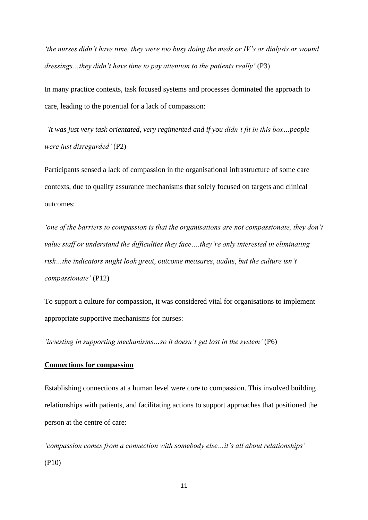*'the nurses didn't have time, they were too busy doing the meds or IV's or dialysis or wound dressings…they didn't have time to pay attention to the patients really'* (P3)

In many practice contexts, task focused systems and processes dominated the approach to care, leading to the potential for a lack of compassion:

*'it was just very task orientated, very regimented and if you didn't fit in this box…people were just disregarded'* (P2)

Participants sensed a lack of compassion in the organisational infrastructure of some care contexts, due to quality assurance mechanisms that solely focused on targets and clinical outcomes:

*'one of the barriers to compassion is that the organisations are not compassionate, they don't value staff or understand the difficulties they face….they're only interested in eliminating risk…the indicators might look great, outcome measures, audits, but the culture isn't compassionate'* (P12)

To support a culture for compassion, it was considered vital for organisations to implement appropriate supportive mechanisms for nurses:

*'investing in supporting mechanisms...so it doesn't get lost in the system'* (P6)

#### **Connections for compassion**

Establishing connections at a human level were core to compassion. This involved building relationships with patients, and facilitating actions to support approaches that positioned the person at the centre of care:

*'compassion comes from a connection with somebody else…it's all about relationships'* (P10)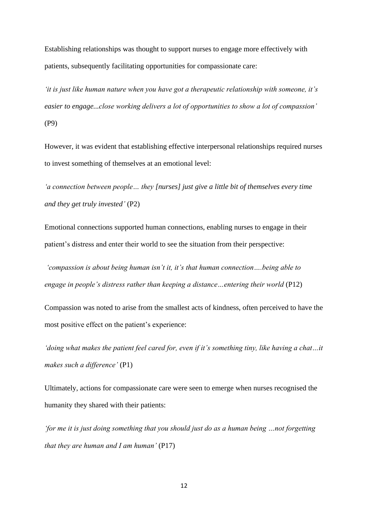Establishing relationships was thought to support nurses to engage more effectively with patients, subsequently facilitating opportunities for compassionate care:

*'it is just like human nature when you have got a therapeutic relationship with someone, it's easier to engage...close working delivers a lot of opportunities to show a lot of compassion'* (P9)

However, it was evident that establishing effective interpersonal relationships required nurses to invest something of themselves at an emotional level:

*'a connection between people… they [nurses] just give a little bit of themselves every time and they get truly invested'* (P2)

Emotional connections supported human connections, enabling nurses to engage in their patient's distress and enter their world to see the situation from their perspective:

*'compassion is about being human isn't it, it's that human connection….being able to engage in people's distress rather than keeping a distance…entering their world* (P12)

Compassion was noted to arise from the smallest acts of kindness, often perceived to have the most positive effect on the patient's experience:

*'doing what makes the patient feel cared for, even if it's something tiny, like having a chat…it makes such a difference'* (P1)

Ultimately, actions for compassionate care were seen to emerge when nurses recognised the humanity they shared with their patients:

*'for me it is just doing something that you should just do as a human being …not forgetting that they are human and I am human'* (P17)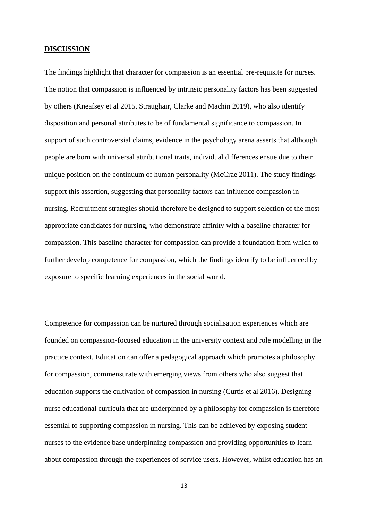#### **DISCUSSION**

The findings highlight that character for compassion is an essential pre-requisite for nurses. The notion that compassion is influenced by intrinsic personality factors has been suggested by others (Kneafsey et al 2015, Straughair, Clarke and Machin 2019), who also identify disposition and personal attributes to be of fundamental significance to compassion. In support of such controversial claims, evidence in the psychology arena asserts that although people are born with universal attributional traits, individual differences ensue due to their unique position on the continuum of human personality (McCrae 2011). The study findings support this assertion, suggesting that personality factors can influence compassion in nursing. Recruitment strategies should therefore be designed to support selection of the most appropriate candidates for nursing, who demonstrate affinity with a baseline character for compassion. This baseline character for compassion can provide a foundation from which to further develop competence for compassion, which the findings identify to be influenced by exposure to specific learning experiences in the social world.

Competence for compassion can be nurtured through socialisation experiences which are founded on compassion-focused education in the university context and role modelling in the practice context. Education can offer a pedagogical approach which promotes a philosophy for compassion, commensurate with emerging views from others who also suggest that education supports the cultivation of compassion in nursing (Curtis et al 2016). Designing nurse educational curricula that are underpinned by a philosophy for compassion is therefore essential to supporting compassion in nursing. This can be achieved by exposing student nurses to the evidence base underpinning compassion and providing opportunities to learn about compassion through the experiences of service users. However, whilst education has an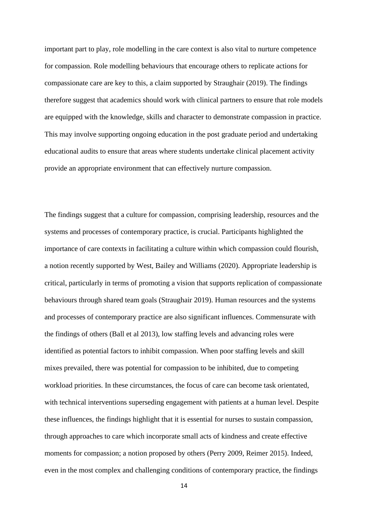important part to play, role modelling in the care context is also vital to nurture competence for compassion. Role modelling behaviours that encourage others to replicate actions for compassionate care are key to this, a claim supported by Straughair (2019). The findings therefore suggest that academics should work with clinical partners to ensure that role models are equipped with the knowledge, skills and character to demonstrate compassion in practice. This may involve supporting ongoing education in the post graduate period and undertaking educational audits to ensure that areas where students undertake clinical placement activity provide an appropriate environment that can effectively nurture compassion.

The findings suggest that a culture for compassion, comprising leadership, resources and the systems and processes of contemporary practice, is crucial. Participants highlighted the importance of care contexts in facilitating a culture within which compassion could flourish, a notion recently supported by West, Bailey and Williams (2020). Appropriate leadership is critical, particularly in terms of promoting a vision that supports replication of compassionate behaviours through shared team goals (Straughair 2019). Human resources and the systems and processes of contemporary practice are also significant influences. Commensurate with the findings of others (Ball et al 2013), low staffing levels and advancing roles were identified as potential factors to inhibit compassion. When poor staffing levels and skill mixes prevailed, there was potential for compassion to be inhibited, due to competing workload priorities. In these circumstances, the focus of care can become task orientated, with technical interventions superseding engagement with patients at a human level. Despite these influences, the findings highlight that it is essential for nurses to sustain compassion, through approaches to care which incorporate small acts of kindness and create effective moments for compassion; a notion proposed by others (Perry 2009, Reimer 2015). Indeed, even in the most complex and challenging conditions of contemporary practice, the findings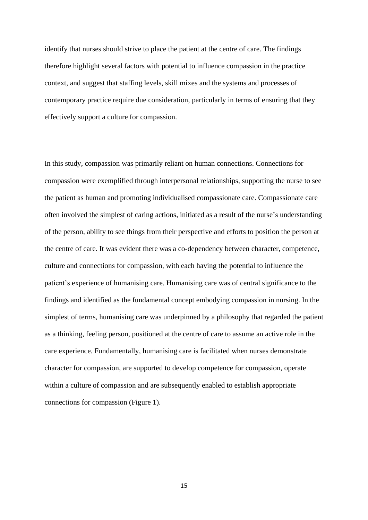identify that nurses should strive to place the patient at the centre of care. The findings therefore highlight several factors with potential to influence compassion in the practice context, and suggest that staffing levels, skill mixes and the systems and processes of contemporary practice require due consideration, particularly in terms of ensuring that they effectively support a culture for compassion.

In this study, compassion was primarily reliant on human connections. Connections for compassion were exemplified through interpersonal relationships, supporting the nurse to see the patient as human and promoting individualised compassionate care. Compassionate care often involved the simplest of caring actions, initiated as a result of the nurse's understanding of the person, ability to see things from their perspective and efforts to position the person at the centre of care. It was evident there was a co-dependency between character, competence, culture and connections for compassion, with each having the potential to influence the patient's experience of humanising care. Humanising care was of central significance to the findings and identified as the fundamental concept embodying compassion in nursing. In the simplest of terms, humanising care was underpinned by a philosophy that regarded the patient as a thinking, feeling person, positioned at the centre of care to assume an active role in the care experience. Fundamentally, humanising care is facilitated when nurses demonstrate character for compassion, are supported to develop competence for compassion, operate within a culture of compassion and are subsequently enabled to establish appropriate connections for compassion (Figure 1).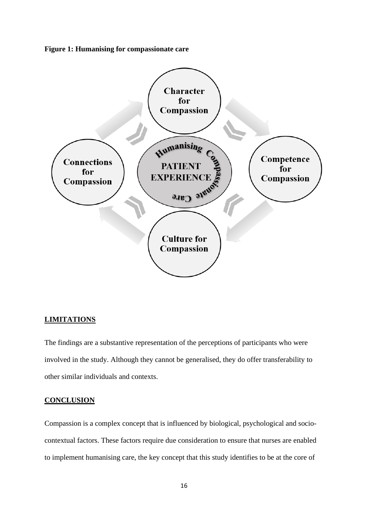**Figure 1: Humanising for compassionate care**



#### **LIMITATIONS**

The findings are a substantive representation of the perceptions of participants who were involved in the study. Although they cannot be generalised, they do offer transferability to other similar individuals and contexts.

#### **CONCLUSION**

Compassion is a complex concept that is influenced by biological, psychological and sociocontextual factors. These factors require due consideration to ensure that nurses are enabled to implement humanising care, the key concept that this study identifies to be at the core of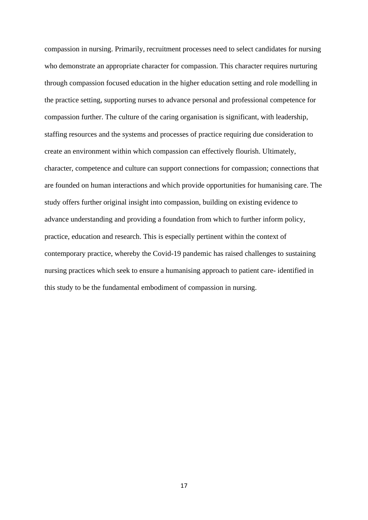compassion in nursing. Primarily, recruitment processes need to select candidates for nursing who demonstrate an appropriate character for compassion. This character requires nurturing through compassion focused education in the higher education setting and role modelling in the practice setting, supporting nurses to advance personal and professional competence for compassion further. The culture of the caring organisation is significant, with leadership, staffing resources and the systems and processes of practice requiring due consideration to create an environment within which compassion can effectively flourish. Ultimately, character, competence and culture can support connections for compassion; connections that are founded on human interactions and which provide opportunities for humanising care. The study offers further original insight into compassion, building on existing evidence to advance understanding and providing a foundation from which to further inform policy, practice, education and research. This is especially pertinent within the context of contemporary practice, whereby the Covid-19 pandemic has raised challenges to sustaining nursing practices which seek to ensure a humanising approach to patient care- identified in this study to be the fundamental embodiment of compassion in nursing.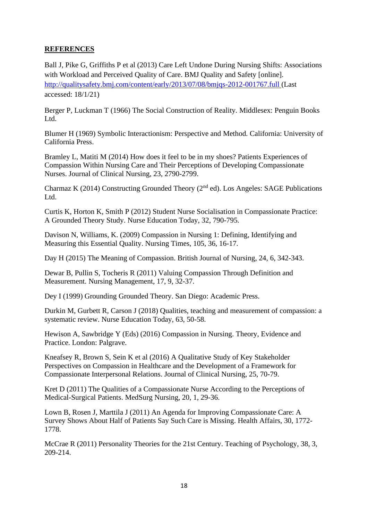# **REFERENCES**

Ball J, Pike G, Griffiths P et al (2013) Care Left Undone During Nursing Shifts: Associations with Workload and Perceived Quality of Care. BMJ Quality and Safety [online]. <http://qualitysafety.bmj.com/content/early/2013/07/08/bmjqs-2012-001767.full> (Last accessed: 18/1/21)

Berger P, Luckman T (1966) The Social Construction of Reality*.* Middlesex: Penguin Books Ltd.

Blumer H (1969) Symbolic Interactionism: Perspective and Method*.* California: University of California Press.

Bramley L, Matiti M (2014) How does it feel to be in my shoes? Patients Experiences of Compassion Within Nursing Care and Their Perceptions of Developing Compassionate Nurses. Journal of Clinical Nursing, 23, 2790-2799.

Charmaz K (2014) Constructing Grounded Theory (2nd ed). Los Angeles: SAGE Publications Ltd.

Curtis K, Horton K, Smith P (2012) Student Nurse Socialisation in Compassionate Practice: A Grounded Theory Study. Nurse Education Today, 32, 790-795.

Davison N, Williams, K. (2009) Compassion in Nursing 1: Defining, Identifying and Measuring this Essential Quality. Nursing Times, 105, 36, 16-17.

Day H (2015) The Meaning of Compassion. British Journal of Nursing, 24, 6, 342-343.

Dewar B, Pullin S, Tocheris R (2011) Valuing Compassion Through Definition and Measurement. Nursing Management, 17, 9, 32-37.

Dey I (1999) Grounding Grounded Theory. San Diego: Academic Press.

Durkin M, Gurbett R, Carson J (2018) Qualities, teaching and measurement of compassion: a systematic review. Nurse Education Today, 63, 50-58.

Hewison A, Sawbridge Y (Eds) (2016) Compassion in Nursing. Theory, Evidence and Practice. London: Palgrave.

Kneafsey R, Brown S, Sein K et al (2016) A Qualitative Study of Key Stakeholder Perspectives on Compassion in Healthcare and the Development of a Framework for Compassionate Interpersonal Relations. Journal of Clinical Nursing, 25, 70-79.

Kret D (2011) The Qualities of a Compassionate Nurse According to the Perceptions of Medical-Surgical Patients. MedSurg Nursing, 20, 1, 29-36.

Lown B, Rosen J, Marttila J (2011) An Agenda for Improving Compassionate Care: A Survey Shows About Half of Patients Say Such Care is Missing. Health Affairs, 30, 1772- 1778.

McCrae R (2011) Personality Theories for the 21st Century. Teaching of Psychology, 38, 3, 209-214.